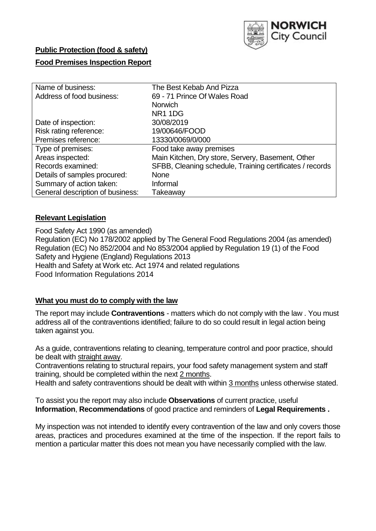

# **Public Protection (food & safety)**

# **Food Premises Inspection Report**

| Name of business:                | The Best Kebab And Pizza                                 |
|----------------------------------|----------------------------------------------------------|
| Address of food business:        | 69 - 71 Prince Of Wales Road                             |
|                                  | <b>Norwich</b>                                           |
|                                  | NR <sub>1</sub> 1D <sub>G</sub>                          |
| Date of inspection:              | 30/08/2019                                               |
| Risk rating reference:           | 19/00646/FOOD                                            |
| Premises reference:              | 13330/0069/0/000                                         |
| Type of premises:                | Food take away premises                                  |
| Areas inspected:                 | Main Kitchen, Dry store, Servery, Basement, Other        |
| Records examined:                | SFBB, Cleaning schedule, Training certificates / records |
| Details of samples procured:     | <b>None</b>                                              |
| Summary of action taken:         | Informal                                                 |
| General description of business: | Takeaway                                                 |

## **Relevant Legislation**

Food Safety Act 1990 (as amended) Regulation (EC) No 178/2002 applied by The General Food Regulations 2004 (as amended) Regulation (EC) No 852/2004 and No 853/2004 applied by Regulation 19 (1) of the Food Safety and Hygiene (England) Regulations 2013 Health and Safety at Work etc. Act 1974 and related regulations Food Information Regulations 2014

## **What you must do to comply with the law**

The report may include **Contraventions** - matters which do not comply with the law . You must address all of the contraventions identified; failure to do so could result in legal action being taken against you.

As a guide, contraventions relating to cleaning, temperature control and poor practice, should be dealt with straight away.

Contraventions relating to structural repairs, your food safety management system and staff training, should be completed within the next 2 months.

Health and safety contraventions should be dealt with within 3 months unless otherwise stated.

To assist you the report may also include **Observations** of current practice, useful **Information**, **Recommendations** of good practice and reminders of **Legal Requirements .**

My inspection was not intended to identify every contravention of the law and only covers those areas, practices and procedures examined at the time of the inspection. If the report fails to mention a particular matter this does not mean you have necessarily complied with the law.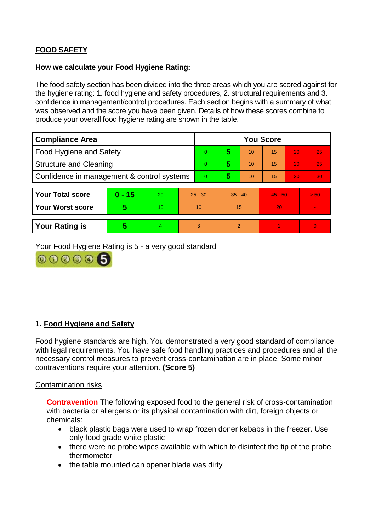# **FOOD SAFETY**

## **How we calculate your Food Hygiene Rating:**

The food safety section has been divided into the three areas which you are scored against for the hygiene rating: 1. food hygiene and safety procedures, 2. structural requirements and 3. confidence in management/control procedures. Each section begins with a summary of what was observed and the score you have been given. Details of how these scores combine to produce your overall food hygiene rating are shown in the table.

| <b>Compliance Area</b>                     |          |                  |           | <b>You Score</b> |               |    |           |    |          |  |  |
|--------------------------------------------|----------|------------------|-----------|------------------|---------------|----|-----------|----|----------|--|--|
| Food Hygiene and Safety                    |          |                  |           | 0                | 5             | 10 | 15        | 20 | 25       |  |  |
| <b>Structure and Cleaning</b>              |          |                  | $\Omega$  | 5                | 10            | 15 | 20        | 25 |          |  |  |
| Confidence in management & control systems |          |                  | $\Omega$  | 5                | 10            | 15 | 20        | 30 |          |  |  |
|                                            |          |                  |           |                  |               |    |           |    |          |  |  |
| <b>Your Total score</b>                    | $0 - 15$ | 20               | $25 - 30$ |                  | $35 - 40$     |    | $45 - 50$ |    | > 50     |  |  |
| <b>Your Worst score</b>                    | 5        | 10 <sup>10</sup> | 10        |                  | 15            |    | 20        |    |          |  |  |
|                                            |          |                  |           |                  |               |    |           |    |          |  |  |
| <b>Your Rating is</b>                      | 5        | 4                |           | 3                | $\mathcal{P}$ |    |           |    | $\Omega$ |  |  |

Your Food Hygiene Rating is 5 - a very good standard



## **1. Food Hygiene and Safety**

Food hygiene standards are high. You demonstrated a very good standard of compliance with legal requirements. You have safe food handling practices and procedures and all the necessary control measures to prevent cross-contamination are in place. Some minor contraventions require your attention. **(Score 5)**

## Contamination risks

**Contravention** The following exposed food to the general risk of cross-contamination with bacteria or allergens or its physical contamination with dirt, foreign objects or chemicals:

- black plastic bags were used to wrap frozen doner kebabs in the freezer. Use only food grade white plastic
- there were no probe wipes available with which to disinfect the tip of the probe thermometer
- the table mounted can opener blade was dirty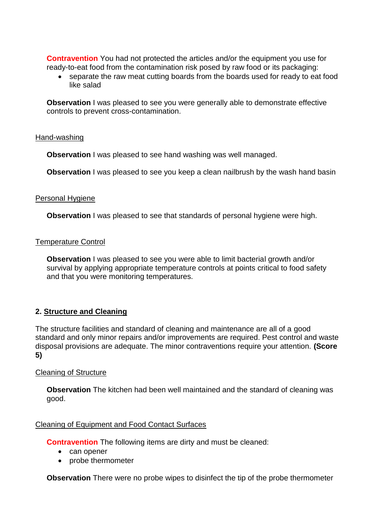**Contravention** You had not protected the articles and/or the equipment you use for ready-to-eat food from the contamination risk posed by raw food or its packaging:

 separate the raw meat cutting boards from the boards used for ready to eat food like salad

**Observation** I was pleased to see you were generally able to demonstrate effective controls to prevent cross-contamination.

### Hand-washing

**Observation** I was pleased to see hand washing was well managed.

**Observation** I was pleased to see you keep a clean nailbrush by the wash hand basin

#### Personal Hygiene

**Observation** I was pleased to see that standards of personal hygiene were high.

### Temperature Control

**Observation** I was pleased to see you were able to limit bacterial growth and/or survival by applying appropriate temperature controls at points critical to food safety and that you were monitoring temperatures.

## **2. Structure and Cleaning**

The structure facilities and standard of cleaning and maintenance are all of a good standard and only minor repairs and/or improvements are required. Pest control and waste disposal provisions are adequate. The minor contraventions require your attention. **(Score 5)**

## Cleaning of Structure

**Observation** The kitchen had been well maintained and the standard of cleaning was good.

#### Cleaning of Equipment and Food Contact Surfaces

**Contravention** The following items are dirty and must be cleaned:

- can opener
- probe thermometer

**Observation** There were no probe wipes to disinfect the tip of the probe thermometer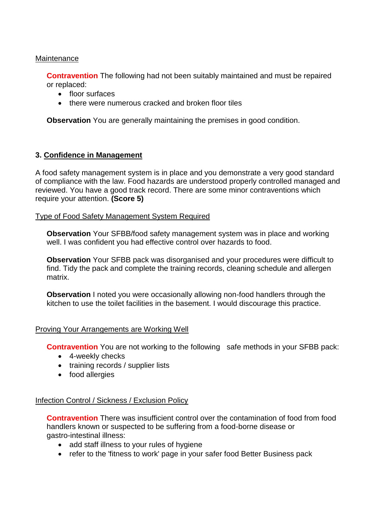## **Maintenance**

**Contravention** The following had not been suitably maintained and must be repaired or replaced:

- floor surfaces
- there were numerous cracked and broken floor tiles

**Observation** You are generally maintaining the premises in good condition.

### **3. Confidence in Management**

A food safety management system is in place and you demonstrate a very good standard of compliance with the law. Food hazards are understood properly controlled managed and reviewed. You have a good track record. There are some minor contraventions which require your attention. **(Score 5)**

### Type of Food Safety Management System Required

**Observation** Your SFBB/food safety management system was in place and working well. I was confident you had effective control over hazards to food.

**Observation** Your SFBB pack was disorganised and your procedures were difficult to find. Tidy the pack and complete the training records, cleaning schedule and allergen matrix.

**Observation** I noted you were occasionally allowing non-food handlers through the kitchen to use the toilet facilities in the basement. I would discourage this practice.

#### Proving Your Arrangements are Working Well

**Contravention** You are not working to the following safe methods in your SFBB pack:

- 4-weekly checks
- training records / supplier lists
- food allergies

## Infection Control / Sickness / Exclusion Policy

**Contravention** There was insufficient control over the contamination of food from food handlers known or suspected to be suffering from a food-borne disease or gastro-intestinal illness:

- add staff illness to your rules of hygiene
- refer to the 'fitness to work' page in your safer food Better Business pack